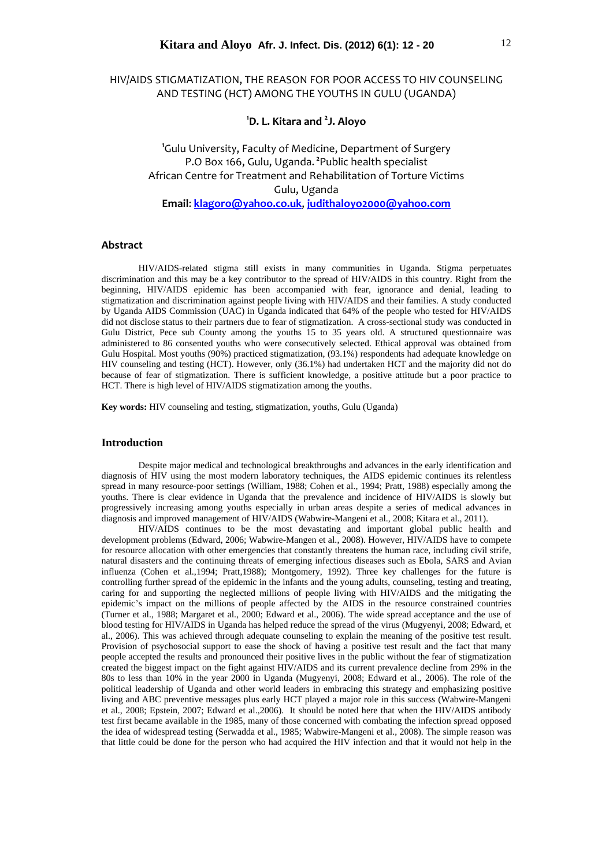# HIV/AIDS STIGMATIZATION, THE REASON FOR POOR ACCESS TO HIV COUNSELING AND TESTING (HCT) AMONG THE YOUTHS IN GULU (UGANDA)

**1 D. L. Kitara and <sup>2</sup> J. Aloyo**

**1** Gulu University, Faculty of Medicine, Department of Surgery P.O Box 166, Gulu, Uganda. <sup>2</sup>Public health specialist African Centre for Treatment and Rehabilitation of Torture Victims Gulu, Uganda **Email**: **klagoro@yahoo.co.uk**, **judithaloyo2000@yahoo.com**

#### **Abstract**

HIV/AIDS-related stigma still exists in many communities in Uganda. Stigma perpetuates discrimination and this may be a key contributor to the spread of HIV/AIDS in this country. Right from the beginning, HIV/AIDS epidemic has been accompanied with fear, ignorance and denial, leading to stigmatization and discrimination against people living with HIV/AIDS and their families. A study conducted by Uganda AIDS Commission (UAC) in Uganda indicated that 64% of the people who tested for HIV/AIDS did not disclose status to their partners due to fear of stigmatization. A cross-sectional study was conducted in Gulu District, Pece sub County among the youths 15 to 35 years old. A structured questionnaire was administered to 86 consented youths who were consecutively selected. Ethical approval was obtained from Gulu Hospital. Most youths (90%) practiced stigmatization, (93.1%) respondents had adequate knowledge on HIV counseling and testing (HCT). However, only (36.1%) had undertaken HCT and the majority did not do because of fear of stigmatization. There is sufficient knowledge, a positive attitude but a poor practice to HCT. There is high level of HIV/AIDS stigmatization among the youths.

**Key words:** HIV counseling and testing, stigmatization, youths, Gulu (Uganda)

# **Introduction**

Despite major medical and technological breakthroughs and advances in the early identification and diagnosis of HIV using the most modern laboratory techniques, the AIDS epidemic continues its relentless spread in many resource-poor settings (William, 1988; Cohen et al., 1994; Pratt, 1988) especially among the youths. There is clear evidence in Uganda that the prevalence and incidence of HIV/AIDS is slowly but progressively increasing among youths especially in urban areas despite a series of medical advances in diagnosis and improved management of HIV/AIDS (Wabwire-Mangeni et al., 2008; Kitara et al.*,* 2011).

HIV/AIDS continues to be the most devastating and important global public health and development problems (Edward, 2006; Wabwire-Mangen et al., 2008). However, HIV/AIDS have to compete for resource allocation with other emergencies that constantly threatens the human race, including civil strife, natural disasters and the continuing threats of emerging infectious diseases such as Ebola, SARS and Avian influenza (Cohen et al.,1994; Pratt,1988); Montgomery, 1992). Three key challenges for the future is controlling further spread of the epidemic in the infants and the young adults, counseling, testing and treating, caring for and supporting the neglected millions of people living with HIV/AIDS and the mitigating the epidemic's impact on the millions of people affected by the AIDS in the resource constrained countries (Turner et al., 1988; Margaret et al., 2000; Edward et al., 2006). The wide spread acceptance and the use of blood testing for HIV/AIDS in Uganda has helped reduce the spread of the virus (Mugyenyi, 2008; Edward, et al., 2006). This was achieved through adequate counseling to explain the meaning of the positive test result. Provision of psychosocial support to ease the shock of having a positive test result and the fact that many people accepted the results and pronounced their positive lives in the public without the fear of stigmatization created the biggest impact on the fight against HIV/AIDS and its current prevalence decline from 29% in the 80s to less than 10% in the year 2000 in Uganda (Mugyenyi, 2008; Edward et al., 2006). The role of the political leadership of Uganda and other world leaders in embracing this strategy and emphasizing positive living and ABC preventive messages plus early HCT played a major role in this success (Wabwire-Mangeni et al., 2008; Epstein, 2007; Edward et al.,2006). It should be noted here that when the HIV/AIDS antibody test first became available in the 1985, many of those concerned with combating the infection spread opposed the idea of widespread testing (Serwadda et al., 1985; Wabwire-Mangeni et al., 2008). The simple reason was that little could be done for the person who had acquired the HIV infection and that it would not help in the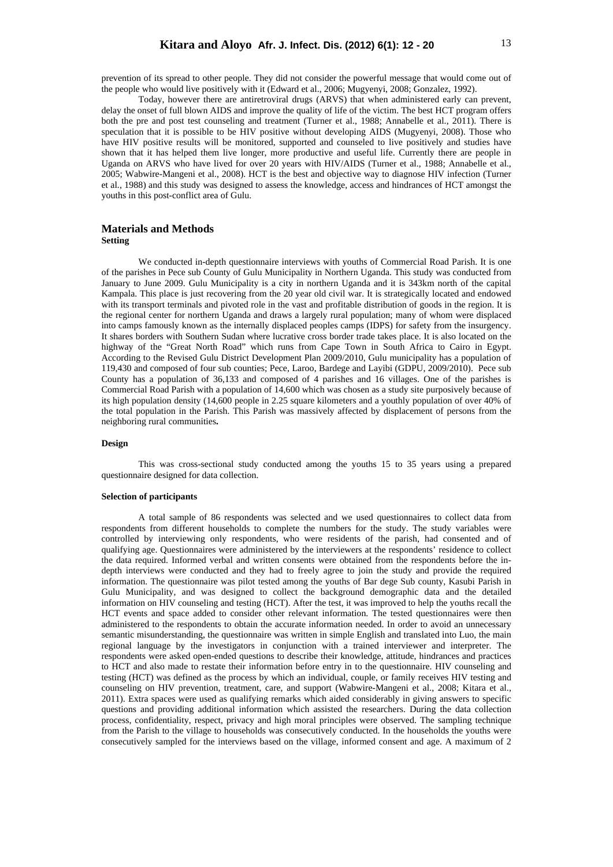prevention of its spread to other people. They did not consider the powerful message that would come out of the people who would live positively with it (Edward et al., 2006; Mugyenyi, 2008; Gonzalez, 1992).

Today, however there are antiretroviral drugs (ARVS) that when administered early can prevent, delay the onset of full blown AIDS and improve the quality of life of the victim. The best HCT program offers both the pre and post test counseling and treatment (Turner et al., 1988; Annabelle et al., 2011). There is speculation that it is possible to be HIV positive without developing AIDS (Mugyenyi, 2008). Those who have HIV positive results will be monitored, supported and counseled to live positively and studies have shown that it has helped them live longer, more productive and useful life. Currently there are people in Uganda on ARVS who have lived for over 20 years with HIV/AIDS (Turner et al., 1988; Annabelle et al., 2005; Wabwire-Mangeni et al., 2008). HCT is the best and objective way to diagnose HIV infection (Turner et al., 1988) and this study was designed to assess the knowledge, access and hindrances of HCT amongst the youths in this post-conflict area of Gulu.

### **Materials and Methods Setting**

We conducted in-depth questionnaire interviews with youths of Commercial Road Parish. It is one of the parishes in Pece sub County of Gulu Municipality in Northern Uganda. This study was conducted from January to June 2009. Gulu Municipality is a city in northern Uganda and it is 343km north of the capital Kampala. This place is just recovering from the 20 year old civil war. It is strategically located and endowed with its transport terminals and pivoted role in the vast and profitable distribution of goods in the region. It is the regional center for northern Uganda and draws a largely rural population; many of whom were displaced into camps famously known as the internally displaced peoples camps (IDPS) for safety from the insurgency. It shares borders with Southern Sudan where lucrative cross border trade takes place. It is also located on the highway of the "Great North Road" which runs from Cape Town in South Africa to Cairo in Egypt. According to the Revised Gulu District Development Plan 2009/2010, Gulu municipality has a population of 119,430 and composed of four sub counties; Pece, Laroo, Bardege and Layibi (GDPU, 2009/2010). Pece sub County has a population of 36,133 and composed of 4 parishes and 16 villages. One of the parishes is Commercial Road Parish with a population of 14,600 which was chosen as a study site purposively because of its high population density (14,600 people in 2.25 square kilometers and a youthly population of over 40% of the total population in the Parish. This Parish was massively affected by displacement of persons from the neighboring rural communities**.** 

### **Design**

 This was cross-sectional study conducted among the youths 15 to 35 years using a prepared questionnaire designed for data collection.

### **Selection of participants**

A total sample of 86 respondents was selected and we used questionnaires to collect data from respondents from different households to complete the numbers for the study. The study variables were controlled by interviewing only respondents, who were residents of the parish, had consented and of qualifying age. Questionnaires were administered by the interviewers at the respondents' residence to collect the data required. Informed verbal and written consents were obtained from the respondents before the indepth interviews were conducted and they had to freely agree to join the study and provide the required information. The questionnaire was pilot tested among the youths of Bar dege Sub county, Kasubi Parish in Gulu Municipality, and was designed to collect the background demographic data and the detailed information on HIV counseling and testing (HCT). After the test, it was improved to help the youths recall the HCT events and space added to consider other relevant information. The tested questionnaires were then administered to the respondents to obtain the accurate information needed. In order to avoid an unnecessary semantic misunderstanding, the questionnaire was written in simple English and translated into Luo, the main regional language by the investigators in conjunction with a trained interviewer and interpreter. The respondents were asked open-ended questions to describe their knowledge, attitude, hindrances and practices to HCT and also made to restate their information before entry in to the questionnaire. HIV counseling and testing (HCT) was defined as the process by which an individual, couple, or family receives HIV testing and counseling on HIV prevention, treatment, care, and support (Wabwire-Mangeni et al., 2008; Kitara et al., 2011). Extra spaces were used as qualifying remarks which aided considerably in giving answers to specific questions and providing additional information which assisted the researchers. During the data collection process, confidentiality, respect, privacy and high moral principles were observed. The sampling technique from the Parish to the village to households was consecutively conducted. In the households the youths were consecutively sampled for the interviews based on the village, informed consent and age. A maximum of 2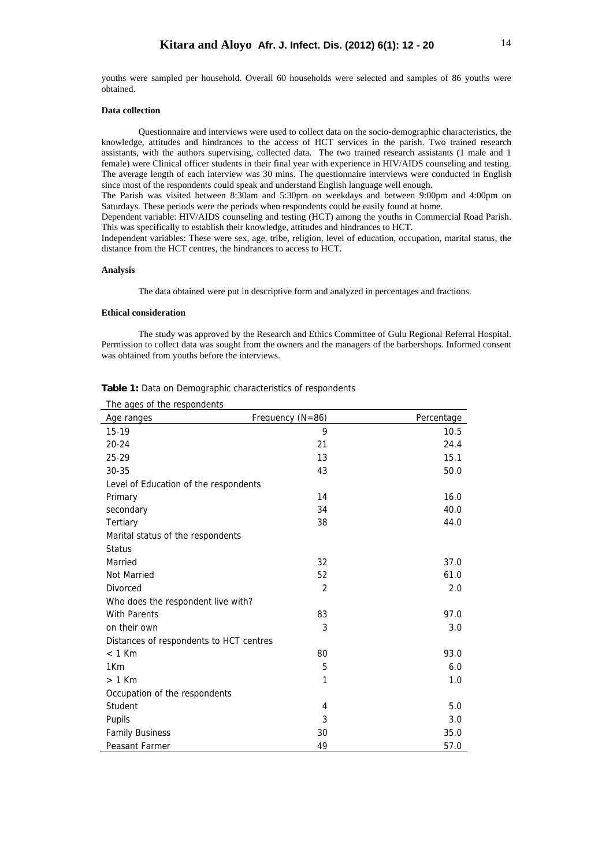youths were sampled per household. Overall 60 households were selected and samples of 86 youths were obtained.

# **Data collection**

Questionnaire and interviews were used to collect data on the socio-demographic characteristics, the knowledge, attitudes and hindrances to the access of HCT services in the parish. Two trained research assistants, with the authors supervising, collected data. The two trained research assistants (1 male and 1 female) were Clinical officer students in their final year with experience in HIV/AIDS counseling and testing. The average length of each interview was 30 mins. The questionnaire interviews were conducted in English since most of the respondents could speak and understand English language well enough.

The Parish was visited between 8:30am and 5:30pm on weekdays and between 9:00pm and 4:00pm on Saturdays. These periods were the periods when respondents could be easily found at home.

Dependent variable: HIV/AIDS counseling and testing (HCT) among the youths in Commercial Road Parish. This was specifically to establish their knowledge, attitudes and hindrances to HCT.

Independent variables: These were sex, age, tribe, religion, level of education, occupation, marital status, the distance from the HCT centres, the hindrances to access to HCT.

#### **Analysis**

The data obtained were put in descriptive form and analyzed in percentages and fractions.

## **Ethical consideration**

The study was approved by the Research and Ethics Committee of Gulu Regional Referral Hospital. Permission to collect data was sought from the owners and the managers of the barbershops. Informed consent was obtained from youths before the interviews.

| The ages of the respondents             |                  |            |  |
|-----------------------------------------|------------------|------------|--|
| Age ranges                              | Frequency (N=86) | Percentage |  |
| $15-19$                                 | 9                | 10.5       |  |
| $20 - 24$                               | 21               | 24.4       |  |
| 25-29                                   | 13               | 15.1       |  |
| 30-35                                   | 43               | 50.0       |  |
| Level of Education of the respondents   |                  |            |  |
| Primary                                 | 14               | 16.0       |  |
| secondary                               | 34               | 40.0       |  |
| Tertiary                                | 38               | 44.0       |  |
| Marital status of the respondents       |                  |            |  |
| <b>Status</b>                           |                  |            |  |
| Married                                 | 32               | 37.0       |  |
| Not Married                             | 52               | 61.0       |  |
| Divorced                                | $\overline{2}$   | 2.0        |  |
| Who does the respondent live with?      |                  |            |  |
| <b>With Parents</b>                     | 83               | 97.0       |  |
| on their own                            | 3                | 3.0        |  |
| Distances of respondents to HCT centres |                  |            |  |
| $< 1$ Km                                | 80               | 93.0       |  |
| 1 <sub>Km</sub>                         | 5                | 6.0        |  |
| $> 1$ Km                                | 1                | 1.0        |  |
| Occupation of the respondents           |                  |            |  |
| Student                                 | 4                | 5.0        |  |
| Pupils                                  | 3                | 3.0        |  |
| <b>Family Business</b>                  | 30               | 35.0       |  |
| Peasant Farmer                          | 49               | 57.0       |  |

**Table 1:** Data on Demographic characteristics of respondents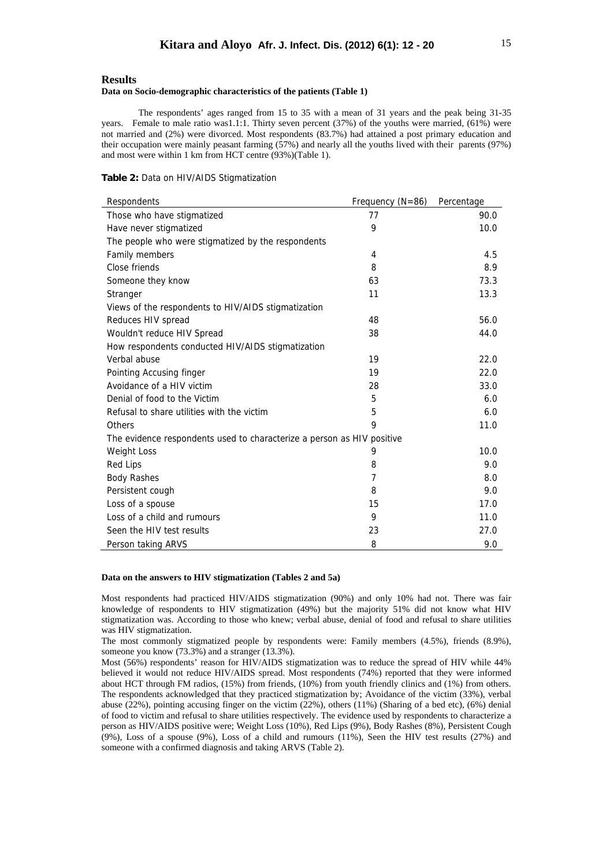# **Results**

#### **Data on Socio-demographic characteristics of the patients (Table 1)**

The respondents' ages ranged from 15 to 35 with a mean of 31 years and the peak being 31-35 years. Female to male ratio was1.1:1. Thirty seven percent (37%) of the youths were married, (61%) were not married and (2%) were divorced. Most respondents (83.7%) had attained a post primary education and their occupation were mainly peasant farming (57%) and nearly all the youths lived with their parents (97%) and most were within 1 km from HCT centre (93%)(Table 1).

# **Table 2:** Data on HIV/AIDS Stigmatization

| Respondents                                                            | Frequency $(N=86)$ | Percentage |  |
|------------------------------------------------------------------------|--------------------|------------|--|
| Those who have stigmatized                                             | 77                 | 90.0       |  |
| Have never stigmatized                                                 | 9                  | 10.0       |  |
| The people who were stigmatized by the respondents                     |                    |            |  |
| Family members                                                         | 4                  | 4.5        |  |
| Close friends                                                          | 8                  | 8.9        |  |
| Someone they know                                                      | 63                 | 73.3       |  |
| Stranger                                                               | 11                 | 13.3       |  |
| Views of the respondents to HIV/AIDS stigmatization                    |                    |            |  |
| Reduces HIV spread                                                     | 48                 | 56.0       |  |
| Wouldn't reduce HIV Spread                                             | 38                 | 44.0       |  |
| How respondents conducted HIV/AIDS stigmatization                      |                    |            |  |
| Verbal abuse                                                           | 19                 | 22.0       |  |
| Pointing Accusing finger                                               | 19                 | 22.0       |  |
| Avoidance of a HIV victim                                              | 28                 | 33.0       |  |
| Denial of food to the Victim                                           | 5                  | 6.0        |  |
| Refusal to share utilities with the victim                             | 5                  | 6.0        |  |
| Others                                                                 | 9                  | 11.0       |  |
| The evidence respondents used to characterize a person as HIV positive |                    |            |  |
| <b>Weight Loss</b>                                                     | 9                  | 10.0       |  |
| <b>Red Lips</b>                                                        | 8                  | 9.0        |  |
| <b>Body Rashes</b>                                                     | 7                  | 8.0        |  |
| Persistent cough                                                       | 8                  | 9.0        |  |
| Loss of a spouse                                                       | 15                 | 17.0       |  |
| Loss of a child and rumours                                            | 9                  | 11.0       |  |
| Seen the HIV test results                                              | 23                 | 27.0       |  |
| Person taking ARVS                                                     | 8                  | 9.0        |  |

#### **Data on the answers to HIV stigmatization (Tables 2 and 5a)**

Most respondents had practiced HIV/AIDS stigmatization (90%) and only 10% had not. There was fair knowledge of respondents to HIV stigmatization (49%) but the majority 51% did not know what HIV stigmatization was. According to those who knew; verbal abuse, denial of food and refusal to share utilities was HIV stigmatization.

The most commonly stigmatized people by respondents were: Family members (4.5%), friends (8.9%), someone you know (73.3%) and a stranger (13.3%).

Most (56%) respondents' reason for HIV/AIDS stigmatization was to reduce the spread of HIV while 44% believed it would not reduce HIV/AIDS spread. Most respondents (74%) reported that they were informed about HCT through FM radios, (15%) from friends, (10%) from youth friendly clinics and (1%) from others. The respondents acknowledged that they practiced stigmatization by; Avoidance of the victim (33%), verbal abuse (22%), pointing accusing finger on the victim (22%), others (11%) (Sharing of a bed etc), (6%) denial of food to victim and refusal to share utilities respectively. The evidence used by respondents to characterize a person as HIV/AIDS positive were; Weight Loss (10%), Red Lips (9%), Body Rashes (8%), Persistent Cough (9%), Loss of a spouse (9%), Loss of a child and rumours (11%), Seen the HIV test results (27%) and someone with a confirmed diagnosis and taking ARVS (Table 2).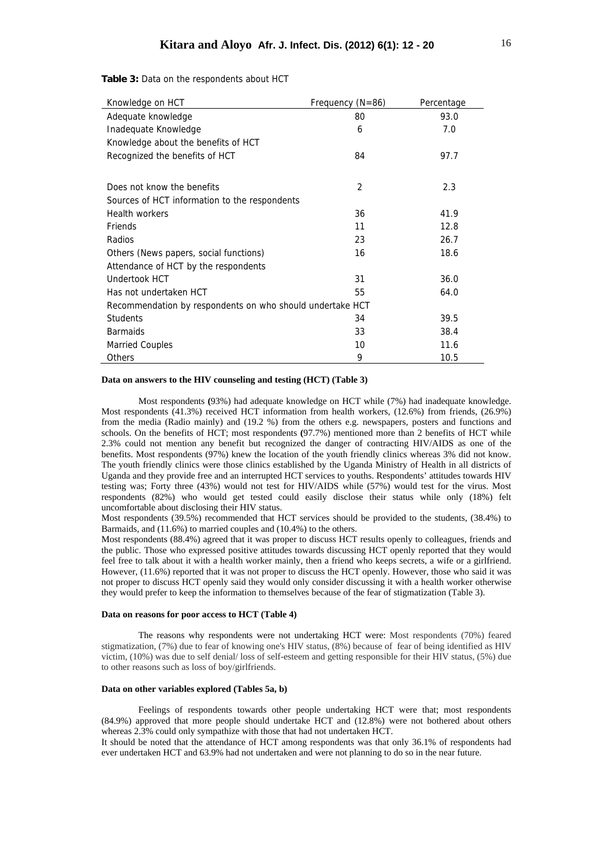**Table 3:** Data on the respondents about HCT

| Knowledge on HCT                                          | Frequency (N=86) | Percentage |  |
|-----------------------------------------------------------|------------------|------------|--|
| Adequate knowledge                                        | 80               | 93.0       |  |
| Inadequate Knowledge                                      | 6                | 7.0        |  |
| Knowledge about the benefits of HCT                       |                  |            |  |
| Recognized the benefits of HCT                            | 84               | 97.7       |  |
|                                                           |                  |            |  |
| Does not know the benefits                                | 2                | 2.3        |  |
| Sources of HCT information to the respondents             |                  |            |  |
| <b>Health workers</b>                                     | 36               | 41.9       |  |
| Friends                                                   | 11               | 12.8       |  |
| Radios                                                    | 23               | 26.7       |  |
| Others (News papers, social functions)                    | 16               | 18.6       |  |
| Attendance of HCT by the respondents                      |                  |            |  |
| Undertook HCT                                             | 31               | 36.0       |  |
| Has not undertaken HCT                                    | 55               | 64.0       |  |
| Recommendation by respondents on who should undertake HCT |                  |            |  |
| <b>Students</b>                                           | 34               | 39.5       |  |
| <b>Barmaids</b>                                           | 33               | 38.4       |  |
| <b>Married Couples</b>                                    | 10               | 11.6       |  |
| Others                                                    | 9                | 10.5       |  |

### **Data on answers to the HIV counseling and testing (HCT) (Table 3)**

Most respondents **(**93%) had adequate knowledge on HCT while (7%) had inadequate knowledge. Most respondents (41.3%) received HCT information from health workers, (12.6%) from friends, (26.9%) from the media (Radio mainly) and (19.2 %) from the others e.g. newspapers, posters and functions and schools. On the benefits of HCT; most respondents **(**97.7%) mentioned more than 2 benefits of HCT while 2.3% could not mention any benefit but recognized the danger of contracting HIV/AIDS as one of the benefits. Most respondents (97%) knew the location of the youth friendly clinics whereas 3% did not know. The youth friendly clinics were those clinics established by the Uganda Ministry of Health in all districts of Uganda and they provide free and an interrupted HCT services to youths. Respondents' attitudes towards HIV testing was; Forty three (43%) would not test for HIV/AIDS while (57%) would test for the virus. Most respondents (82%) who would get tested could easily disclose their status while only (18%) felt uncomfortable about disclosing their HIV status.

Most respondents (39.5%) recommended that HCT services should be provided to the students, (38.4%) to Barmaids, and (11.6%) to married couples and (10.4%) to the others.

Most respondents (88.4%) agreed that it was proper to discuss HCT results openly to colleagues, friends and the public. Those who expressed positive attitudes towards discussing HCT openly reported that they would feel free to talk about it with a health worker mainly, then a friend who keeps secrets, a wife or a girlfriend. However, (11.6%) reported that it was not proper to discuss the HCT openly. However, those who said it was not proper to discuss HCT openly said they would only consider discussing it with a health worker otherwise they would prefer to keep the information to themselves because of the fear of stigmatization (Table 3).

### **Data on reasons for poor access to HCT (Table 4)**

The reasons why respondents were not undertaking HCT were: Most respondents (70%) feared stigmatization, (7%) due to fear of knowing one's HIV status, (8%) because of fear of being identified as HIV victim, (10%) was due to self denial/ loss of self-esteem and getting responsible for their HIV status, (5%) due to other reasons such as loss of boy/girlfriends.

## **Data on other variables explored (Tables 5a, b)**

Feelings of respondents towards other people undertaking HCT were that; most respondents (84.9%) approved that more people should undertake HCT and (12.8%) were not bothered about others whereas  $2.3\%$  could only sympathize with those that had not undertaken HCT.

It should be noted that the attendance of HCT among respondents was that only 36.1% of respondents had ever undertaken HCT and 63.9% had not undertaken and were not planning to do so in the near future.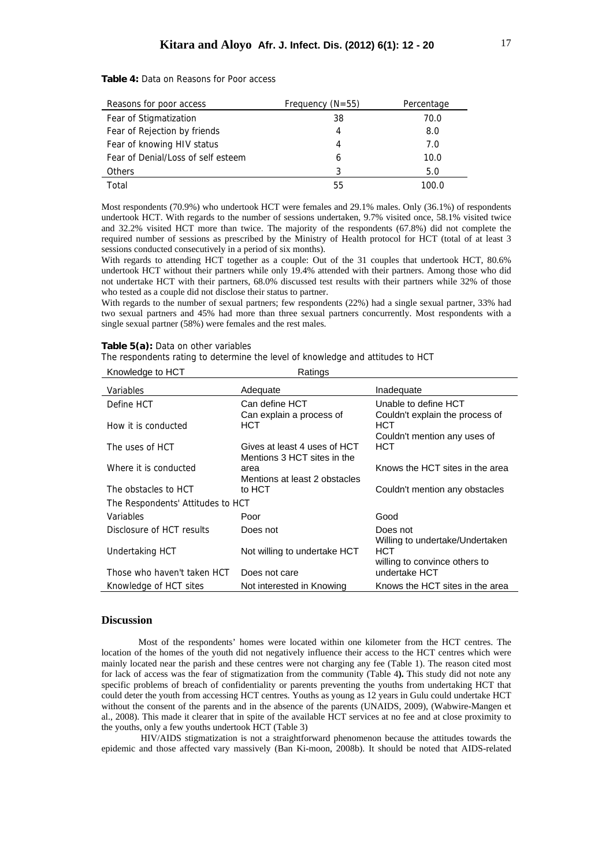| Reasons for poor access            | Frequency $(N=55)$ | Percentage |
|------------------------------------|--------------------|------------|
| Fear of Stigmatization             | 38                 | 70.0       |
| Fear of Rejection by friends       | 4                  | 8.0        |
| Fear of knowing HIV status         | 4                  | 7.0        |
| Fear of Denial/Loss of self esteem | 6                  | 10.0       |
| <b>Others</b>                      | 3                  | 5.0        |
| Total                              | 55                 | 100.0      |

**Table 4:** Data on Reasons for Poor access

Most respondents (70.9%) who undertook HCT were females and 29.1% males. Only (36.1%) of respondents undertook HCT. With regards to the number of sessions undertaken, 9.7% visited once, 58.1% visited twice and 32.2% visited HCT more than twice. The majority of the respondents (67.8%) did not complete the required number of sessions as prescribed by the Ministry of Health protocol for HCT (total of at least 3 sessions conducted consecutively in a period of six months).

With regards to attending HCT together as a couple: Out of the 31 couples that undertook HCT, 80.6% undertook HCT without their partners while only 19.4% attended with their partners. Among those who did not undertake HCT with their partners, 68.0% discussed test results with their partners while 32% of those who tested as a couple did not disclose their status to partner.

With regards to the number of sexual partners; few respondents (22%) had a single sexual partner, 33% had two sexual partners and 45% had more than three sexual partners concurrently. Most respondents with a single sexual partner (58%) were females and the rest males.

### **Table 5(a):** Data on other variables

The respondents rating to determine the level of knowledge and attitudes to HCT

| Knowledge to HCT | Ratings  |
|------------------|----------|
| Variables        | Adequate |

| Variables                         | Adequate                         | Inadequate                                                             |  |
|-----------------------------------|----------------------------------|------------------------------------------------------------------------|--|
| Define HCT                        | Can define HCT                   | Unable to define HCT                                                   |  |
| How it is conducted               | Can explain a process of<br>HCT. | Couldn't explain the process of<br>HCT<br>Couldn't mention any uses of |  |
| The uses of HCT                   | Gives at least 4 uses of HCT     | <b>HCT</b>                                                             |  |
|                                   | Mentions 3 HCT sites in the      |                                                                        |  |
| Where it is conducted             | area                             | Knows the HCT sites in the area                                        |  |
|                                   | Mentions at least 2 obstacles    |                                                                        |  |
| The obstacles to HCT              | to HCT                           | Couldn't mention any obstacles                                         |  |
| The Respondents' Attitudes to HCT |                                  |                                                                        |  |
| Variables                         | Poor                             | Good                                                                   |  |
| Disclosure of HCT results         | Does not                         | Does not                                                               |  |
|                                   |                                  | Willing to undertake/Undertaken                                        |  |
| Undertaking HCT                   | Not willing to undertake HCT     | HCT                                                                    |  |
|                                   |                                  | willing to convince others to                                          |  |
| Those who haven't taken HCT       | Does not care                    | undertake HCT                                                          |  |
| Knowledge of HCT sites            | Not interested in Knowing        | Knows the HCT sites in the area                                        |  |

# **Discussion**

Most of the respondents' homes were located within one kilometer from the HCT centres. The location of the homes of the youth did not negatively influence their access to the HCT centres which were mainly located near the parish and these centres were not charging any fee (Table 1). The reason cited most for lack of access was the fear of stigmatization from the community (Table 4**).** This study did not note any specific problems of breach of confidentiality or parents preventing the youths from undertaking HCT that could deter the youth from accessing HCT centres. Youths as young as 12 years in Gulu could undertake HCT without the consent of the parents and in the absence of the parents (UNAIDS, 2009), (Wabwire-Mangen et al., 2008). This made it clearer that in spite of the available HCT services at no fee and at close proximity to the youths, only a few youths undertook HCT (Table 3)

 HIV/AIDS stigmatization is not a straightforward phenomenon because the attitudes towards the epidemic and those affected vary massively (Ban Ki-moon, 2008b). It should be noted that AIDS-related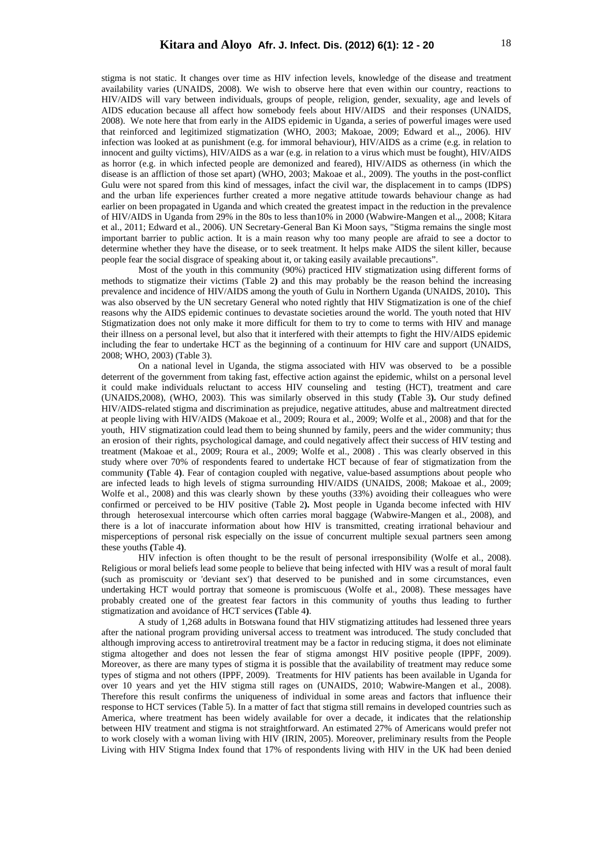stigma is not static. It changes over time as HIV infection levels, knowledge of the disease and treatment availability varies (UNAIDS, 2008). We wish to observe here that even within our country, reactions to HIV/AIDS will vary between individuals, groups of people, religion, gender, sexuality, age and levels of AIDS education because all affect how somebody feels about HIV/AIDS and their responses (UNAIDS, 2008). We note here that from early in the AIDS epidemic in Uganda, a series of powerful images were used that reinforced and legitimized stigmatization (WHO, 2003; Makoae*,* 2009; Edward et al.,, 2006). HIV infection was looked at as punishment (e.g. for immoral behaviour), HIV/AIDS as a crime (e.g. in relation to innocent and guilty victims), HIV/AIDS as a war (e.g. in relation to a virus which must be fought), HIV/AIDS as horror (e.g. in which infected people are demonized and feared), HIV/AIDS as otherness (in which the disease is an affliction of those set apart) (WHO, 2003; Makoae et al.*,* 2009). The youths in the post-conflict Gulu were not spared from this kind of messages, infact the civil war, the displacement in to camps (IDPS) and the urban life experiences further created a more negative attitude towards behaviour change as had earlier on been propagated in Uganda and which created the greatest impact in the reduction in the prevalence of HIV/AIDS in Uganda from 29% in the 80s to less than10% in 2000 (Wabwire-Mangen et al.,, 2008; Kitara et al., 2011; Edward et al., 2006). UN Secretary-General Ban Ki Moon says, "Stigma remains the single most important barrier to public action. It is a main reason why too many people are afraid to see a doctor to determine whether they have the disease, or to seek treatment. It helps make AIDS the silent killer, because people fear the social disgrace of speaking about it, or taking easily available precautions".

Most of the youth in this community (90%) practiced HIV stigmatization using different forms of methods to stigmatize their victims (Table 2**)** and this may probably be the reason behind the increasing prevalence and incidence of HIV/AIDS among the youth of Gulu in Northern Uganda (UNAIDS, 2010)**.** This was also observed by the UN secretary General who noted rightly that HIV Stigmatization is one of the chief reasons why the AIDS epidemic continues to devastate societies around the world. The youth noted that HIV Stigmatization does not only make it more difficult for them to try to come to terms with HIV and manage their illness on a personal level, but also that it interfered with their attempts to fight the HIV/AIDS epidemic including the fear to undertake HCT as the beginning of a continuum for HIV care and support (UNAIDS, 2008; WHO, 2003) (Table 3).

On a national level in Uganda, the stigma associated with HIV was observed to be a possible deterrent of the government from taking fast, effective action against the epidemic, whilst on a personal level it could make individuals reluctant to access HIV counseling and testing (HCT), treatment and care (UNAIDS,2008), (WHO, 2003). This was similarly observed in this study **(**Table 3**).** Our study defined HIV/AIDS-related stigma and discrimination as prejudice, negative attitudes, abuse and maltreatment directed at people living with HIV/AIDS (Makoae et al.*,* 2009; Roura et al., 2009; Wolfe et al., 2008) and that for the youth, HIV stigmatization could lead them to being shunned by family, peers and the wider community; thus an erosion of their rights, psychological damage, and could negatively affect their success of HIV testing and treatment (Makoae et al.*,* 2009; Roura et al., 2009; Wolfe et al., 2008) . This was clearly observed in this study where over 70% of respondents feared to undertake HCT because of fear of stigmatization from the community **(**Table 4**)**. Fear of contagion coupled with negative, value-based assumptions about people who are infected leads to high levels of stigma surrounding HIV/AIDS (UNAIDS, 2008; Makoae et al.*,* 2009; Wolfe et al., 2008) and this was clearly shown by these youths (33%) avoiding their colleagues who were confirmed or perceived to be HIV positive (Table 2**).** Most people in Uganda become infected with HIV through heterosexual intercourse which often carries moral baggage (Wabwire-Mangen et al., 2008), and there is a lot of inaccurate information about how HIV is transmitted, creating irrational behaviour and misperceptions of personal risk especially on the issue of concurrent multiple sexual partners seen among these youths **(**Table 4**)**.

HIV infection is often thought to be the result of personal irresponsibility (Wolfe et al., 2008). Religious or moral beliefs lead some people to believe that being infected with HIV was a result of moral fault (such as promiscuity or 'deviant sex') that deserved to be punished and in some circumstances, even undertaking HCT would portray that someone is promiscuous (Wolfe et al., 2008). These messages have probably created one of the greatest fear factors in this community of youths thus leading to further stigmatization and avoidance of HCT services **(**Table 4**)**.

A study of 1,268 adults in Botswana found that HIV stigmatizing attitudes had lessened three years after the national program providing universal access to treatment was introduced. The study concluded that although improving access to antiretroviral treatment may be a factor in reducing stigma, it does not eliminate stigma altogether and does not lessen the fear of stigma amongst HIV positive people (IPPF, 2009). Moreover, as there are many types of stigma it is possible that the availability of treatment may reduce some types of stigma and not others (IPPF, 2009). Treatments for HIV patients has been available in Uganda for over 10 years and yet the HIV stigma still rages on (UNAIDS, 2010; Wabwire-Mangen et al., 2008). Therefore this result confirms the uniqueness of individual in some areas and factors that influence their response to HCT services (Table 5). In a matter of fact that stigma still remains in developed countries such as America, where treatment has been widely available for over a decade, it indicates that the relationship between HIV treatment and stigma is not straightforward. An estimated 27% of Americans would prefer not to work closely with a woman living with HIV (IRIN, 2005). Moreover, preliminary results from the People Living with HIV Stigma Index found that 17% of respondents living with HIV in the UK had been denied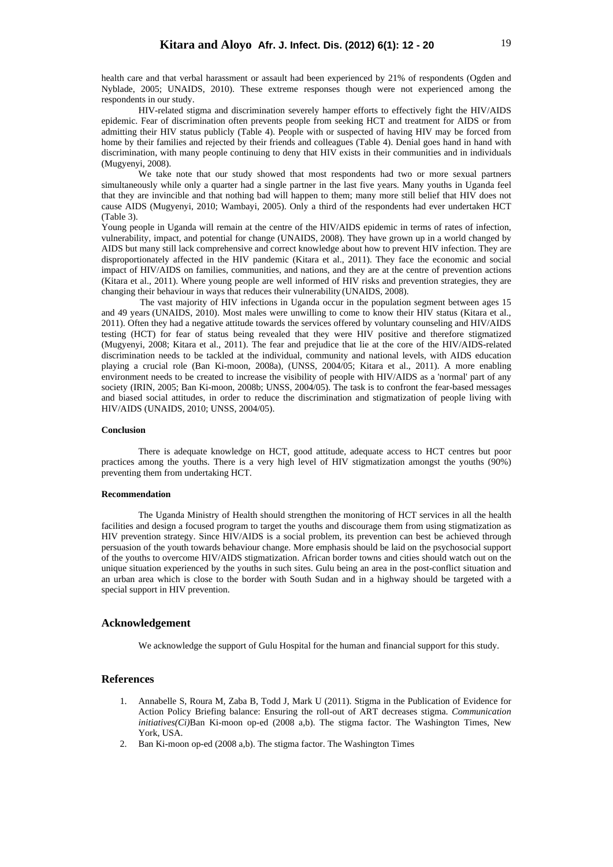health care and that verbal harassment or assault had been experienced by 21% of respondents (Ogden and Nyblade, 2005; UNAIDS, 2010). These extreme responses though were not experienced among the respondents in our study.

HIV-related stigma and discrimination severely hamper efforts to effectively fight the HIV/AIDS epidemic. Fear of discrimination often prevents people from seeking HCT and treatment for AIDS or from admitting their HIV status publicly (Table 4). People with or suspected of having HIV may be forced from home by their families and rejected by their friends and colleagues (Table 4). Denial goes hand in hand with discrimination, with many people continuing to deny that HIV exists in their communities and in individuals (Mugyenyi, 2008).

We take note that our study showed that most respondents had two or more sexual partners simultaneously while only a quarter had a single partner in the last five years. Many youths in Uganda feel that they are invincible and that nothing bad will happen to them; many more still belief that HIV does not cause AIDS (Mugyenyi, 2010; Wambayi, 2005). Only a third of the respondents had ever undertaken HCT (Table 3).

Young people in Uganda will remain at the centre of the HIV/AIDS epidemic in terms of rates of infection, vulnerability, impact, and potential for change (UNAIDS, 2008). They have grown up in a world changed by AIDS but many still lack comprehensive and correct knowledge about how to prevent HIV infection. They are disproportionately affected in the HIV pandemic (Kitara et al., 2011). They face the economic and social impact of HIV/AIDS on families, communities, and nations, and they are at the centre of prevention actions (Kitara et al., 2011). Where young people are well informed of HIV risks and prevention strategies, they are changing their behaviour in ways that reduces their vulnerability (UNAIDS, 2008).

 The vast majority of HIV infections in Uganda occur in the population segment between ages 15 and 49 years (UNAIDS, 2010). Most males were unwilling to come to know their HIV status (Kitara et al., 2011). Often they had a negative attitude towards the services offered by voluntary counseling and HIV/AIDS testing (HCT) for fear of status being revealed that they were HIV positive and therefore stigmatized (Mugyenyi, 2008; Kitara et al., 2011). The fear and prejudice that lie at the core of the HIV/AIDS-related discrimination needs to be tackled at the individual, community and national levels, with AIDS education playing a crucial role (Ban Ki-moon, 2008a), (UNSS, 2004/05; Kitara et al., 2011). A more enabling environment needs to be created to increase the visibility of people with HIV/AIDS as a 'normal' part of any society (IRIN, 2005; Ban Ki-moon, 2008b; UNSS, 2004/05). The task is to confront the fear-based messages and biased social attitudes, in order to reduce the discrimination and stigmatization of people living with HIV/AIDS (UNAIDS, 2010; UNSS, 2004/05).

#### **Conclusion**

 There is adequate knowledge on HCT, good attitude, adequate access to HCT centres but poor practices among the youths. There is a very high level of HIV stigmatization amongst the youths (90%) preventing them from undertaking HCT.

# **Recommendation**

 The Uganda Ministry of Health should strengthen the monitoring of HCT services in all the health facilities and design a focused program to target the youths and discourage them from using stigmatization as HIV prevention strategy. Since HIV/AIDS is a social problem, its prevention can best be achieved through persuasion of the youth towards behaviour change. More emphasis should be laid on the psychosocial support of the youths to overcome HIV/AIDS stigmatization. African border towns and cities should watch out on the unique situation experienced by the youths in such sites. Gulu being an area in the post-conflict situation and an urban area which is close to the border with South Sudan and in a highway should be targeted with a special support in HIV prevention.

### **Acknowledgement**

We acknowledge the support of Gulu Hospital for the human and financial support for this study.

## **References**

- 1. Annabelle S, Roura M, Zaba B, Todd J, Mark U (2011). Stigma in the Publication of Evidence for Action Policy Briefing balance: Ensuring the roll-out of ART decreases stigma. *Communication initiatives(Ci)Ban* Ki-moon op-ed (2008 a,b). The stigma factor. The Washington Times, New York, USA.
- 2. Ban Ki-moon op-ed (2008 a,b). The stigma factor. The Washington Times